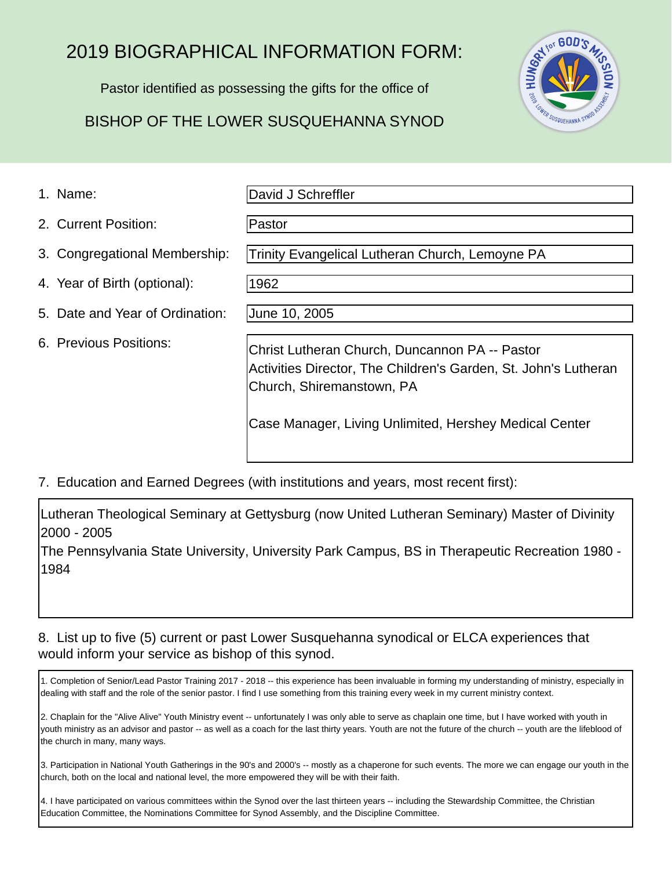## 2019 BIOGRAPHICAL INFORMATION FORM:

Pastor identified as possessing the gifts for the office of

### BISHOP OF THE LOWER SUSQUEHANNA SYNOD

Pastor

SAY 101 600'S M <sup>3</sup>SUSQUEHANNA SYN

#### 1. Name:

David J Schreffler

2. Current Position:

- 3. Congregational Membership:
- 4. Year of Birth (optional):
- 5. Date and Year of Ordination:
- 6. Previous Positions:

1962

June 10, 2005

Christ Lutheran Church, Duncannon PA -- Pastor Activities Director, The Children's Garden, St. John's Lutheran Church, Shiremanstown, PA

Case Manager, Living Unlimited, Hershey Medical Center

Trinity Evangelical Lutheran Church, Lemoyne PA

7. Education and Earned Degrees (with institutions and years, most recent first):

Lutheran Theological Seminary at Gettysburg (now United Lutheran Seminary) Master of Divinity 2000 - 2005

The Pennsylvania State University, University Park Campus, BS in Therapeutic Recreation 1980 - 1984

#### 8. List up to five (5) current or past Lower Susquehanna synodical or ELCA experiences that would inform your service as bishop of this synod.

1. Completion of Senior/Lead Pastor Training 2017 - 2018 -- this experience has been invaluable in forming my understanding of ministry, especially in dealing with staff and the role of the senior pastor. I find I use something from this training every week in my current ministry context.

2. Chaplain for the "Alive Alive" Youth Ministry event -- unfortunately I was only able to serve as chaplain one time, but I have worked with youth in youth ministry as an advisor and pastor -- as well as a coach for the last thirty years. Youth are not the future of the church -- youth are the lifeblood of the church in many, many ways.

3. Participation in National Youth Gatherings in the 90's and 2000's -- mostly as a chaperone for such events. The more we can engage our youth in the church, both on the local and national level, the more empowered they will be with their faith.

4. I have participated on various committees within the Synod over the last thirteen years -- including the Stewardship Committee, the Christian Education Committee, the Nominations Committee for Synod Assembly, and the Discipline Committee.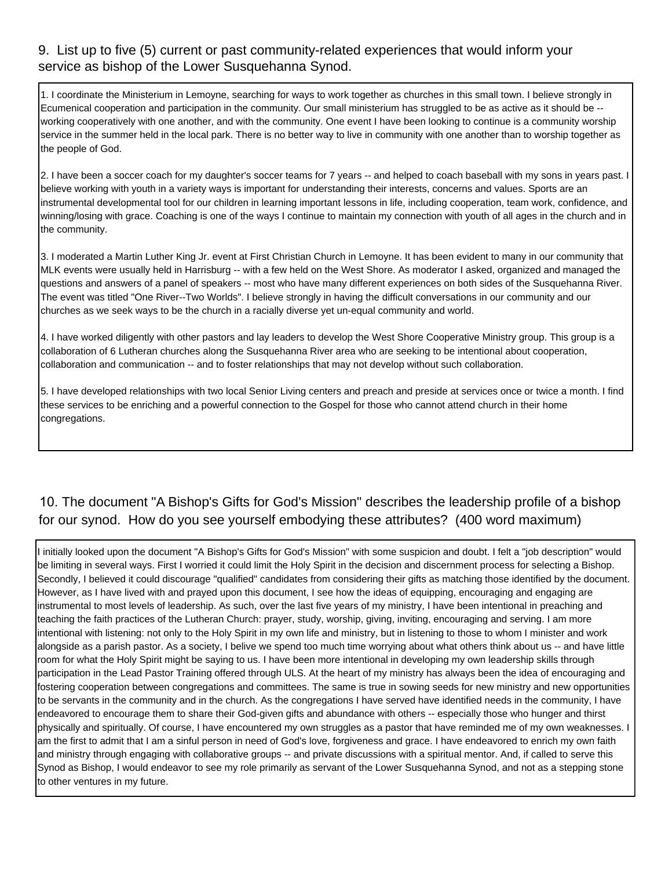#### 9. List up to five (5) current or past community-related experiences that would inform your service as bishop of the Lower Susquehanna Synod.

Ecumenical cooperation and participation in the community. Our small ministerium has struggled to be as active as it should be - working cooperatively with one another, and with the community. One event I have been looking to continue is a community worship service in the summer held in the local park. There is no better way to live in community with one another than to worship together as the people of God.

1. Coordinate the Ministerium in Lemoyne, searching for ways to work together as churches in this small than the company in Libelies attributes at the maximum in Libelies attributes. The company of the ministerium in Libel 2. I have been a soccer coach for my daughter's soccer teams for 7 years -- and helped to coach baseball with my sons in years past. I believe working with youth in a variety ways is important for understanding their interests, concerns and values. Sports are an instrumental developmental tool for our children in learning important lessons in life, including cooperation, team work, confidence, and winning/losing with grace. Coaching is one of the ways I continue to maintain my connection with youth of all ages in the church and in the community.

3. I moderated a Martin Luther King Jr. event at First Christian Church in Lemoyne. It has been evident to many in our community that MLK events were usually held in Harrisburg -- with a few held on the West Shore. As moderator I asked, organized and managed the questions and answers of a panel of speakers -- most who have many different experiences on both sides of the Susquehanna River. The event was titled "One River--Two Worlds". I believe strongly in having the difficult conversations in our community and our churches as we seek ways to be the church in a racially diverse yet un-equal community and world.

4. I have worked diligently with other pastors and lay leaders to develop the West Shore Cooperative Ministry group. This group is a collaboration of 6 Lutheran churches along the Susquehanna River area who are seeking to be intentional about cooperation, collaboration and communication -- and to foster relationships that may not develop without such collaboration.

5. I have developed relationships with two local Senior Living centers and preach and preside at services once or twice a month. I find these services to be enriching and a powerful connection to the Gospel for those who cannot attend church in their home congregations.

# 10. The document "A Bishop's Gifts for God's Mission" describes the leadership profile of a bishop

I initially looked upon the document "A Bishop's Gifts for God's Mission" with some suspicion and doubt. I felt a "job description" would be limiting in several ways. First I worried it could limit the Holy Spirit in the decision and discernment process for selecting a Bishop. Secondly, I believed it could discourage "qualified" candidates from considering their gifts as matching those identified by the document. However, as I have lived with and prayed upon this document, I see how the ideas of equipping, encouraging and engaging are instrumental to most levels of leadership. As such, over the last five years of my ministry, I have been intentional in preaching and teaching the faith practices of the Lutheran Church: prayer, study, worship, giving, inviting, encouraging and serving. I am more intentional with listening: not only to the Holy Spirit in my own life and ministry, but in listening to those to whom I minister and work alongside as a parish pastor. As a society, I belive we spend too much time worrying about what others think about us -- and have little room for what the Holy Spirit might be saying to us. I have been more intentional in developing my own leadership skills through participation in the Lead Pastor Training offered through ULS. At the heart of my ministry has always been the idea of encouraging and fostering cooperation between congregations and committees. The same is true in sowing seeds for new ministry and new opportunities to be servants in the community and in the church. As the congregations I have served have identified needs in the community, I have endeavored to encourage them to share their God-given gifts and abundance with others -- especially those who hunger and thirst physically and spiritually. Of course, I have encountered my own struggles as a pastor that have reminded me of my own weaknesses. I am the first to admit that I am a sinful person in need of God's love, forgiveness and grace. I have endeavored to enrich my own faith and ministry through engaging with collaborative groups -- and private discussions with a spiritual mentor. And, if called to serve this Synod as Bishop, I would endeavor to see my role primarily as servant of the Lower Susquehanna Synod, and not as a stepping stone to other ventures in my future.